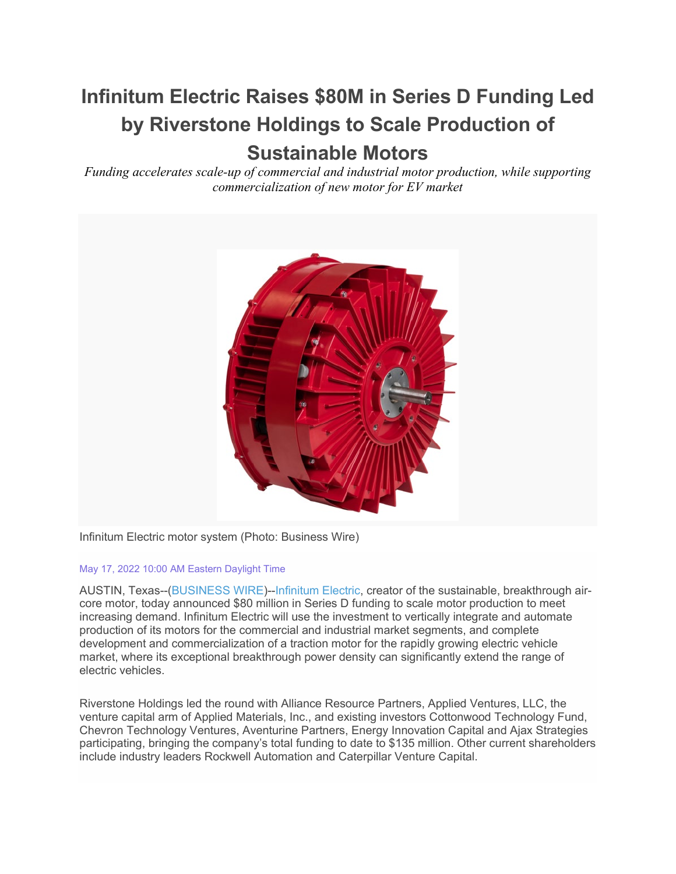# **Infinitum Electric Raises \$80M in Series D Funding Led by Riverstone Holdings to Scale Production of Sustainable Motors**

*Funding accelerates scale-up of commercial and industrial motor production, while supporting commercialization of new motor for EV market*



Infinitum Electric motor system (Photo: Business Wire)

#### May 17, 2022 10:00 AM Eastern Daylight Time

AUSTIN, Texas--[\(BUSINESS WIRE\)](https://www.businesswire.com/)-[-Infinitum Electric,](https://cts.businesswire.com/ct/CT?id=smartlink&url=http%3A%2F%2Fwww.infinitumelectric.com&esheet=52721697&newsitemid=20220517005417&lan=en-US&anchor=Infinitum+Electric&index=1&md5=0890ebd6f282351477c912203745706d) creator of the sustainable, breakthrough aircore motor, today announced \$80 million in Series D funding to scale motor production to meet increasing demand. Infinitum Electric will use the investment to vertically integrate and automate production of its motors for the commercial and industrial market segments, and complete development and commercialization of a traction motor for the rapidly growing electric vehicle market, where its exceptional breakthrough power density can significantly extend the range of electric vehicles.

Riverstone Holdings led the round with Alliance Resource Partners, Applied Ventures, LLC, the venture capital arm of Applied Materials, Inc., and existing investors Cottonwood Technology Fund, Chevron Technology Ventures, Aventurine Partners, Energy Innovation Capital and Ajax Strategies participating, bringing the company's total funding to date to \$135 million. Other current shareholders include industry leaders Rockwell Automation and Caterpillar Venture Capital.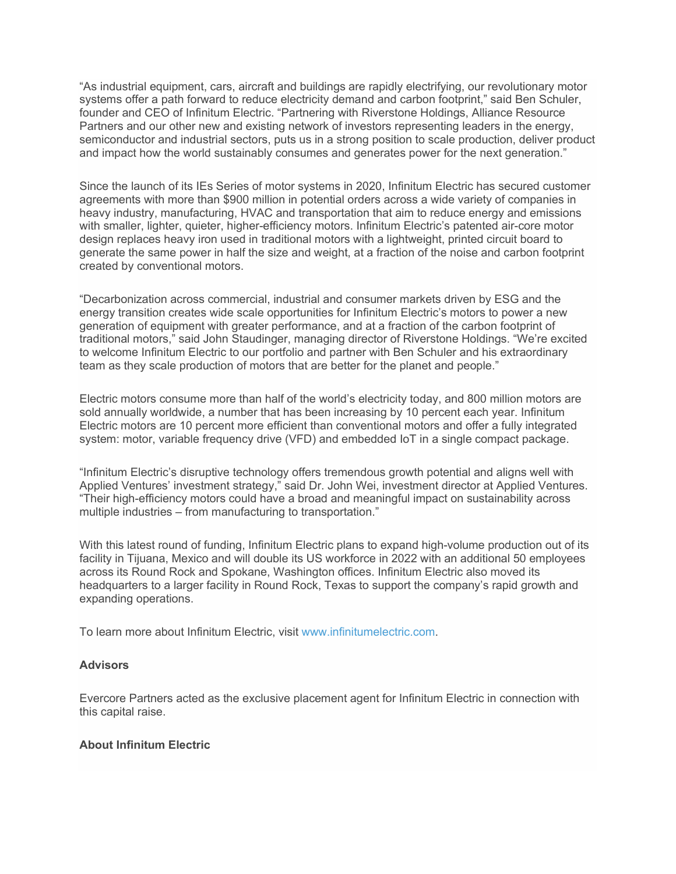"As industrial equipment, cars, aircraft and buildings are rapidly electrifying, our revolutionary motor systems offer a path forward to reduce electricity demand and carbon footprint," said Ben Schuler, founder and CEO of Infinitum Electric. "Partnering with Riverstone Holdings, Alliance Resource Partners and our other new and existing network of investors representing leaders in the energy, semiconductor and industrial sectors, puts us in a strong position to scale production, deliver product and impact how the world sustainably consumes and generates power for the next generation."

Since the launch of its IEs Series of motor systems in 2020, Infinitum Electric has secured customer agreements with more than \$900 million in potential orders across a wide variety of companies in heavy industry, manufacturing, HVAC and transportation that aim to reduce energy and emissions with smaller, lighter, quieter, higher-efficiency motors. Infinitum Electric's patented air-core motor design replaces heavy iron used in traditional motors with a lightweight, printed circuit board to generate the same power in half the size and weight, at a fraction of the noise and carbon footprint created by conventional motors.

"Decarbonization across commercial, industrial and consumer markets driven by ESG and the energy transition creates wide scale opportunities for Infinitum Electric's motors to power a new generation of equipment with greater performance, and at a fraction of the carbon footprint of traditional motors," said John Staudinger, managing director of Riverstone Holdings. "We're excited to welcome Infinitum Electric to our portfolio and partner with Ben Schuler and his extraordinary team as they scale production of motors that are better for the planet and people."

Electric motors consume more than half of the world's electricity today, and 800 million motors are sold annually worldwide, a number that has been increasing by 10 percent each year. Infinitum Electric motors are 10 percent more efficient than conventional motors and offer a fully integrated system: motor, variable frequency drive (VFD) and embedded IoT in a single compact package.

"Infinitum Electric's disruptive technology offers tremendous growth potential and aligns well with Applied Ventures' investment strategy," said Dr. John Wei, investment director at Applied Ventures. "Their high-efficiency motors could have a broad and meaningful impact on sustainability across multiple industries – from manufacturing to transportation."

With this latest round of funding, Infinitum Electric plans to expand high-volume production out of its facility in Tijuana, Mexico and will double its US workforce in 2022 with an additional 50 employees across its Round Rock and Spokane, Washington offices. Infinitum Electric also moved its headquarters to a larger facility in Round Rock, Texas to support the company's rapid growth and expanding operations.

To learn more about Infinitum Electric, visit [www.infinitumelectric.com.](https://cts.businesswire.com/ct/CT?id=smartlink&url=http%3A%2F%2Fwww.infinitumelectric.com&esheet=52721697&newsitemid=20220517005417&lan=en-US&anchor=www.infinitumelectric.com&index=2&md5=d44de172000743e59e43128a13b61d3a)

### **Advisors**

Evercore Partners acted as the exclusive placement agent for Infinitum Electric in connection with this capital raise.

### **About Infinitum Electric**